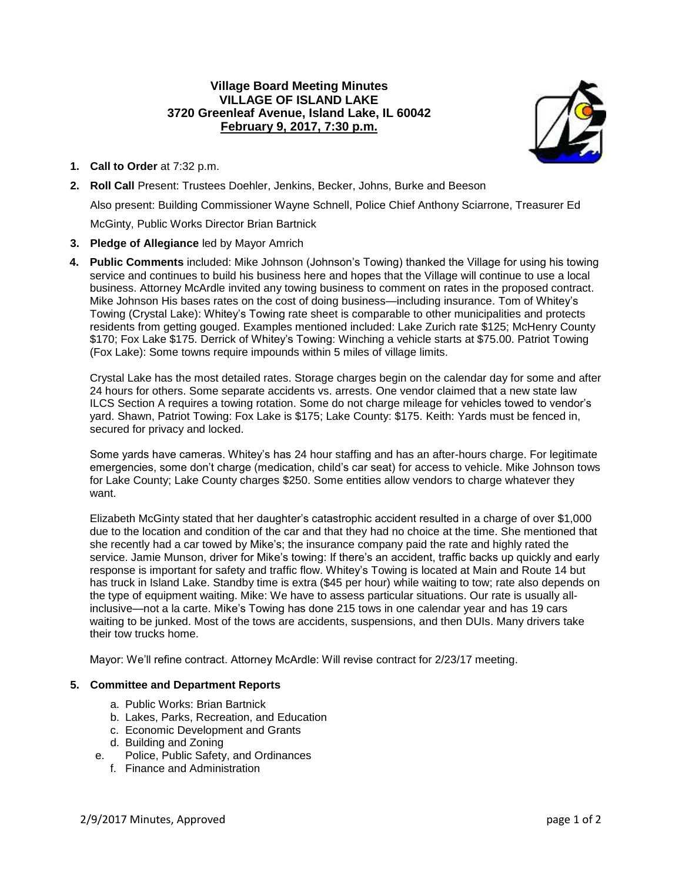# **Village Board Meeting Minutes VILLAGE OF ISLAND LAKE 3720 Greenleaf Avenue, Island Lake, IL 60042 February 9, 2017, 7:30 p.m.**



- **1. Call to Order** at 7:32 p.m.
- **2. Roll Call** Present: Trustees Doehler, Jenkins, Becker, Johns, Burke and Beeson

Also present: Building Commissioner Wayne Schnell, Police Chief Anthony Sciarrone, Treasurer Ed

McGinty, Public Works Director Brian Bartnick

## **3. Pledge of Allegiance** led by Mayor Amrich

**4. Public Comments** included: Mike Johnson (Johnson's Towing) thanked the Village for using his towing service and continues to build his business here and hopes that the Village will continue to use a local business. Attorney McArdle invited any towing business to comment on rates in the proposed contract. Mike Johnson His bases rates on the cost of doing business—including insurance. Tom of Whitey's Towing (Crystal Lake): Whitey's Towing rate sheet is comparable to other municipalities and protects residents from getting gouged. Examples mentioned included: Lake Zurich rate \$125; McHenry County \$170; Fox Lake \$175. Derrick of Whitey's Towing: Winching a vehicle starts at \$75.00. Patriot Towing (Fox Lake): Some towns require impounds within 5 miles of village limits.

Crystal Lake has the most detailed rates. Storage charges begin on the calendar day for some and after 24 hours for others. Some separate accidents vs. arrests. One vendor claimed that a new state law ILCS Section A requires a towing rotation. Some do not charge mileage for vehicles towed to vendor's yard. Shawn, Patriot Towing: Fox Lake is \$175; Lake County: \$175. Keith: Yards must be fenced in, secured for privacy and locked.

Some yards have cameras. Whitey's has 24 hour staffing and has an after-hours charge. For legitimate emergencies, some don't charge (medication, child's car seat) for access to vehicle. Mike Johnson tows for Lake County; Lake County charges \$250. Some entities allow vendors to charge whatever they want.

Elizabeth McGinty stated that her daughter's catastrophic accident resulted in a charge of over \$1,000 due to the location and condition of the car and that they had no choice at the time. She mentioned that she recently had a car towed by Mike's; the insurance company paid the rate and highly rated the service. Jamie Munson, driver for Mike's towing: If there's an accident, traffic backs up quickly and early response is important for safety and traffic flow. Whitey's Towing is located at Main and Route 14 but has truck in Island Lake. Standby time is extra (\$45 per hour) while waiting to tow; rate also depends on the type of equipment waiting. Mike: We have to assess particular situations. Our rate is usually allinclusive—not a la carte. Mike's Towing has done 215 tows in one calendar year and has 19 cars waiting to be junked. Most of the tows are accidents, suspensions, and then DUIs. Many drivers take their tow trucks home.

Mayor: We'll refine contract. Attorney McArdle: Will revise contract for 2/23/17 meeting.

## **5. Committee and Department Reports**

- a. Public Works: Brian Bartnick
- b. Lakes, Parks, Recreation, and Education
- c. Economic Development and Grants
- d. Building and Zoning
- e. Police, Public Safety, and Ordinances
	- f. Finance and Administration